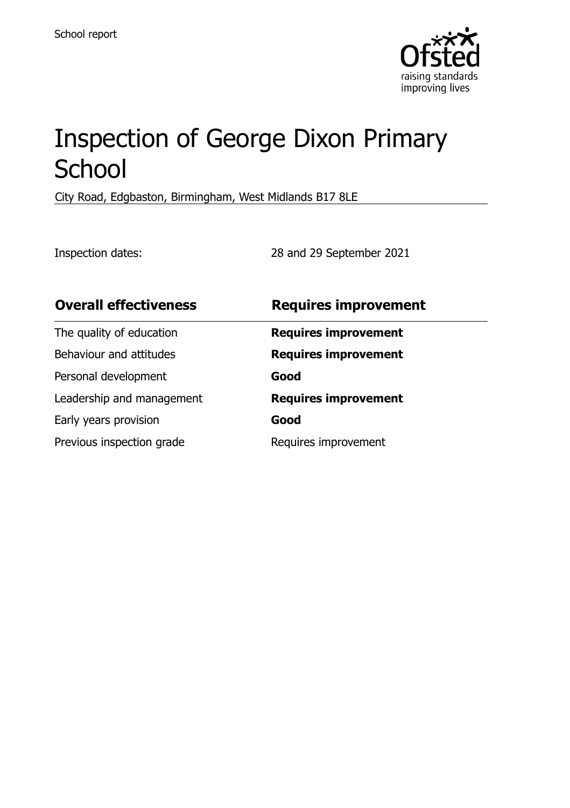

# Inspection of George Dixon Primary **School**

City Road, Edgbaston, Birmingham, West Midlands B17 8LE

Inspection dates: 28 and 29 September 2021

| <b>Overall effectiveness</b> | <b>Requires improvement</b> |
|------------------------------|-----------------------------|
| The quality of education     | <b>Requires improvement</b> |
| Behaviour and attitudes      | <b>Requires improvement</b> |
| Personal development         | Good                        |
| Leadership and management    | <b>Requires improvement</b> |
| Early years provision        | Good                        |
| Previous inspection grade    | Requires improvement        |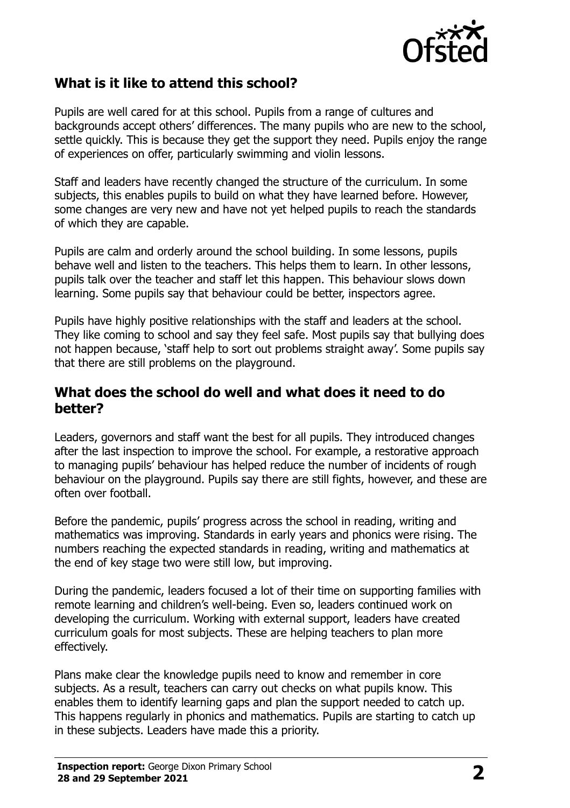

## **What is it like to attend this school?**

Pupils are well cared for at this school. Pupils from a range of cultures and backgrounds accept others' differences. The many pupils who are new to the school, settle quickly. This is because they get the support they need. Pupils enjoy the range of experiences on offer, particularly swimming and violin lessons.

Staff and leaders have recently changed the structure of the curriculum. In some subjects, this enables pupils to build on what they have learned before. However, some changes are very new and have not yet helped pupils to reach the standards of which they are capable.

Pupils are calm and orderly around the school building. In some lessons, pupils behave well and listen to the teachers. This helps them to learn. In other lessons, pupils talk over the teacher and staff let this happen. This behaviour slows down learning. Some pupils say that behaviour could be better, inspectors agree.

Pupils have highly positive relationships with the staff and leaders at the school. They like coming to school and say they feel safe. Most pupils say that bullying does not happen because, 'staff help to sort out problems straight away'. Some pupils say that there are still problems on the playground.

### **What does the school do well and what does it need to do better?**

Leaders, governors and staff want the best for all pupils. They introduced changes after the last inspection to improve the school. For example, a restorative approach to managing pupils' behaviour has helped reduce the number of incidents of rough behaviour on the playground. Pupils say there are still fights, however, and these are often over football.

Before the pandemic, pupils' progress across the school in reading, writing and mathematics was improving. Standards in early years and phonics were rising. The numbers reaching the expected standards in reading, writing and mathematics at the end of key stage two were still low, but improving.

During the pandemic, leaders focused a lot of their time on supporting families with remote learning and children's well-being. Even so, leaders continued work on developing the curriculum. Working with external support, leaders have created curriculum goals for most subjects. These are helping teachers to plan more effectively.

Plans make clear the knowledge pupils need to know and remember in core subjects. As a result, teachers can carry out checks on what pupils know. This enables them to identify learning gaps and plan the support needed to catch up. This happens regularly in phonics and mathematics. Pupils are starting to catch up in these subjects. Leaders have made this a priority.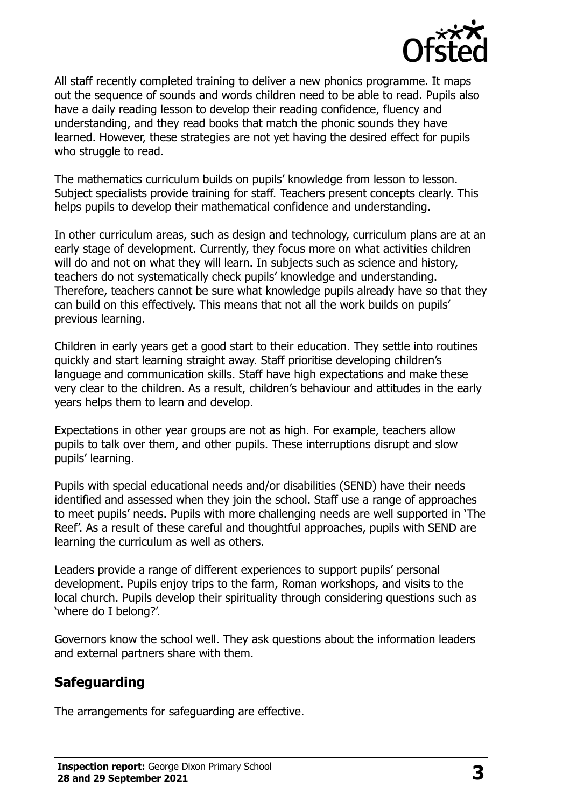

All staff recently completed training to deliver a new phonics programme. It maps out the sequence of sounds and words children need to be able to read. Pupils also have a daily reading lesson to develop their reading confidence, fluency and understanding, and they read books that match the phonic sounds they have learned. However, these strategies are not yet having the desired effect for pupils who struggle to read.

The mathematics curriculum builds on pupils' knowledge from lesson to lesson. Subject specialists provide training for staff. Teachers present concepts clearly. This helps pupils to develop their mathematical confidence and understanding.

In other curriculum areas, such as design and technology, curriculum plans are at an early stage of development. Currently, they focus more on what activities children will do and not on what they will learn. In subjects such as science and history, teachers do not systematically check pupils' knowledge and understanding. Therefore, teachers cannot be sure what knowledge pupils already have so that they can build on this effectively. This means that not all the work builds on pupils' previous learning.

Children in early years get a good start to their education. They settle into routines quickly and start learning straight away. Staff prioritise developing children's language and communication skills. Staff have high expectations and make these very clear to the children. As a result, children's behaviour and attitudes in the early years helps them to learn and develop.

Expectations in other year groups are not as high. For example, teachers allow pupils to talk over them, and other pupils. These interruptions disrupt and slow pupils' learning.

Pupils with special educational needs and/or disabilities (SEND) have their needs identified and assessed when they join the school. Staff use a range of approaches to meet pupils' needs. Pupils with more challenging needs are well supported in 'The Reef'. As a result of these careful and thoughtful approaches, pupils with SEND are learning the curriculum as well as others.

Leaders provide a range of different experiences to support pupils' personal development. Pupils enjoy trips to the farm, Roman workshops, and visits to the local church. Pupils develop their spirituality through considering questions such as 'where do I belong?'.

Governors know the school well. They ask questions about the information leaders and external partners share with them.

## **Safeguarding**

The arrangements for safeguarding are effective.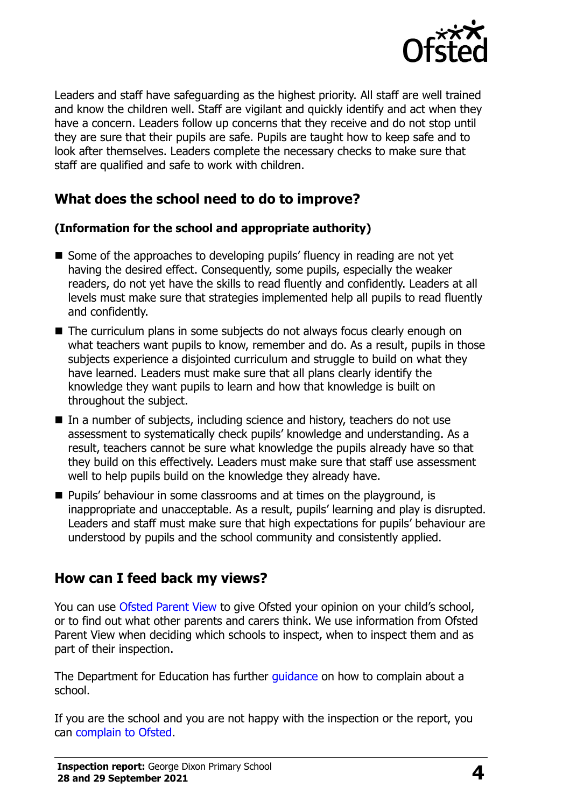

Leaders and staff have safeguarding as the highest priority. All staff are well trained and know the children well. Staff are vigilant and quickly identify and act when they have a concern. Leaders follow up concerns that they receive and do not stop until they are sure that their pupils are safe. Pupils are taught how to keep safe and to look after themselves. Leaders complete the necessary checks to make sure that staff are qualified and safe to work with children.

## **What does the school need to do to improve?**

#### **(Information for the school and appropriate authority)**

- Some of the approaches to developing pupils' fluency in reading are not yet having the desired effect. Consequently, some pupils, especially the weaker readers, do not yet have the skills to read fluently and confidently. Leaders at all levels must make sure that strategies implemented help all pupils to read fluently and confidently.
- The curriculum plans in some subjects do not always focus clearly enough on what teachers want pupils to know, remember and do. As a result, pupils in those subjects experience a disjointed curriculum and struggle to build on what they have learned. Leaders must make sure that all plans clearly identify the knowledge they want pupils to learn and how that knowledge is built on throughout the subject.
- In a number of subjects, including science and history, teachers do not use assessment to systematically check pupils' knowledge and understanding. As a result, teachers cannot be sure what knowledge the pupils already have so that they build on this effectively. Leaders must make sure that staff use assessment well to help pupils build on the knowledge they already have.
- **Pupils' behaviour in some classrooms and at times on the playground, is** inappropriate and unacceptable. As a result, pupils' learning and play is disrupted. Leaders and staff must make sure that high expectations for pupils' behaviour are understood by pupils and the school community and consistently applied.

## **How can I feed back my views?**

You can use [Ofsted Parent View](http://parentview.ofsted.gov.uk/) to give Ofsted your opinion on your child's school, or to find out what other parents and carers think. We use information from Ofsted Parent View when deciding which schools to inspect, when to inspect them and as part of their inspection.

The Department for Education has further quidance on how to complain about a school.

If you are the school and you are not happy with the inspection or the report, you can [complain to Ofsted.](http://www.gov.uk/complain-ofsted-report)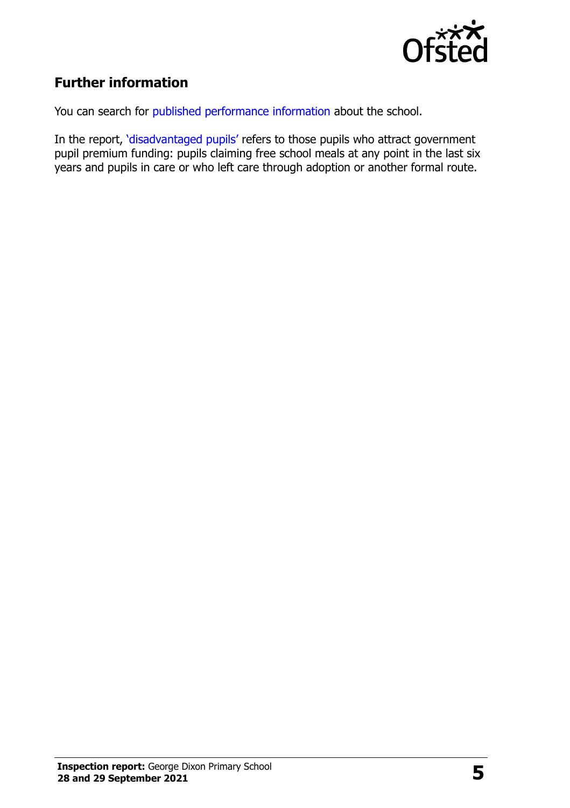

# **Further information**

You can search for [published performance information](http://www.compare-school-performance.service.gov.uk/) about the school.

In the report, '[disadvantaged pupils](http://www.gov.uk/guidance/pupil-premium-information-for-schools-and-alternative-provision-settings)' refers to those pupils who attract government pupil premium funding: pupils claiming free school meals at any point in the last six years and pupils in care or who left care through adoption or another formal route.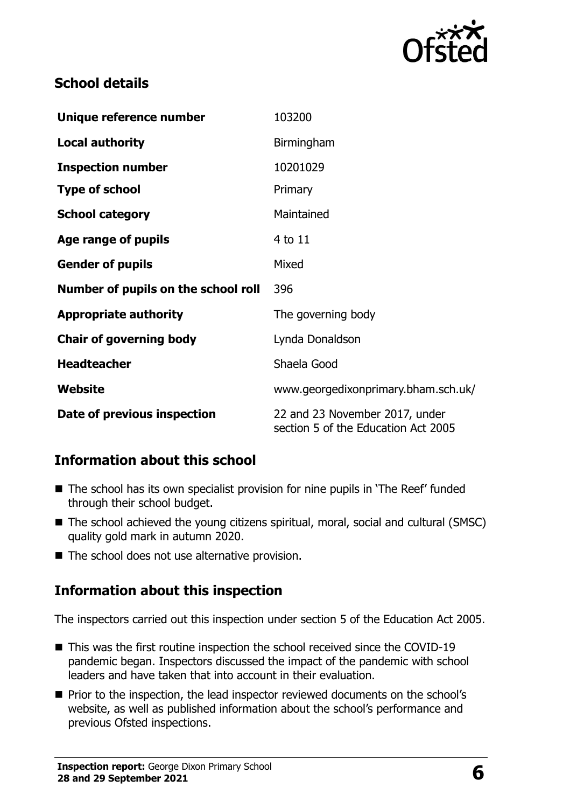

## **School details**

| Unique reference number             | 103200                                                                |  |
|-------------------------------------|-----------------------------------------------------------------------|--|
| <b>Local authority</b>              | Birmingham                                                            |  |
| <b>Inspection number</b>            | 10201029                                                              |  |
| <b>Type of school</b>               | Primary                                                               |  |
| <b>School category</b>              | Maintained                                                            |  |
| Age range of pupils                 | 4 to 11                                                               |  |
| <b>Gender of pupils</b>             | Mixed                                                                 |  |
| Number of pupils on the school roll | 396                                                                   |  |
| <b>Appropriate authority</b>        | The governing body                                                    |  |
| <b>Chair of governing body</b>      | Lynda Donaldson                                                       |  |
| <b>Headteacher</b>                  | Shaela Good                                                           |  |
| Website                             | www.georgedixonprimary.bham.sch.uk/                                   |  |
| Date of previous inspection         | 22 and 23 November 2017, under<br>section 5 of the Education Act 2005 |  |

## **Information about this school**

- The school has its own specialist provision for nine pupils in 'The Reef' funded through their school budget.
- The school achieved the young citizens spiritual, moral, social and cultural (SMSC) quality gold mark in autumn 2020.
- $\blacksquare$  The school does not use alternative provision.

## **Information about this inspection**

The inspectors carried out this inspection under section 5 of the Education Act 2005.

- This was the first routine inspection the school received since the COVID-19 pandemic began. Inspectors discussed the impact of the pandemic with school leaders and have taken that into account in their evaluation.
- **Prior to the inspection, the lead inspector reviewed documents on the school's** website, as well as published information about the school's performance and previous Ofsted inspections.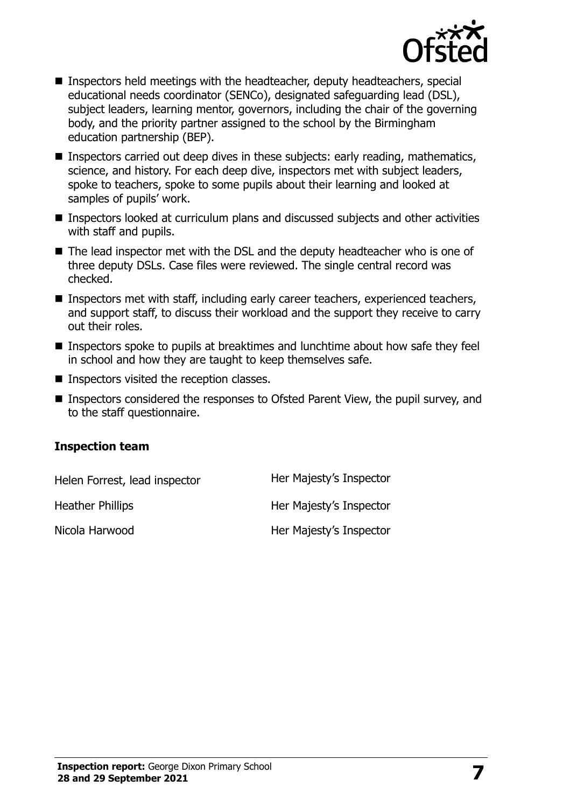

- Inspectors held meetings with the headteacher, deputy headteachers, special educational needs coordinator (SENCo), designated safeguarding lead (DSL), subject leaders, learning mentor, governors, including the chair of the governing body, and the priority partner assigned to the school by the Birmingham education partnership (BEP).
- **Inspectors carried out deep dives in these subjects: early reading, mathematics,** science, and history. For each deep dive, inspectors met with subject leaders, spoke to teachers, spoke to some pupils about their learning and looked at samples of pupils' work.
- Inspectors looked at curriculum plans and discussed subjects and other activities with staff and pupils.
- The lead inspector met with the DSL and the deputy headteacher who is one of three deputy DSLs. Case files were reviewed. The single central record was checked.
- Inspectors met with staff, including early career teachers, experienced teachers, and support staff, to discuss their workload and the support they receive to carry out their roles.
- Inspectors spoke to pupils at breaktimes and lunchtime about how safe they feel in school and how they are taught to keep themselves safe.
- **Inspectors visited the reception classes.**
- Inspectors considered the responses to Ofsted Parent View, the pupil survey, and to the staff questionnaire.

#### **Inspection team**

| Helen Forrest, lead inspector | Her Majesty's Inspector |
|-------------------------------|-------------------------|
| <b>Heather Phillips</b>       | Her Majesty's Inspector |
| Nicola Harwood                | Her Majesty's Inspector |